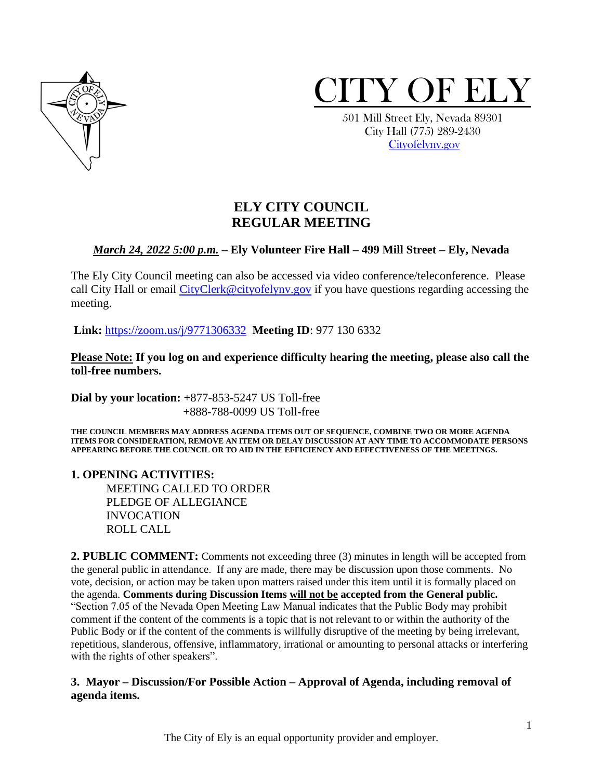



 501 Mill Street Ely, Nevada 89301 City Hall (775) 289-2430 [Cityofelynv.gov](mailto:Cityofelynv.gov)

# **ELY CITY COUNCIL REGULAR MEETING**

## *March 24, 2022 5:00 p.m.* **– Ely Volunteer Fire Hall – 499 Mill Street – Ely, Nevada**

The Ely City Council meeting can also be accessed via video conference/teleconference. Please call City Hall or email [CityClerk@cityofelynv.gov](mailto:CityClerk@cityofelynv.gov) if you have questions regarding accessing the meeting.

**Link:** [https://zoom.us/j/9771306332](https://zoom.us/j/9771306332?status=success) **Meeting ID**: 977 130 6332

**Please Note: If you log on and experience difficulty hearing the meeting, please also call the toll-free numbers.** 

**Dial by your location:** +877-853-5247 US Toll-free +888-788-0099 US Toll-free

**THE COUNCIL MEMBERS MAY ADDRESS AGENDA ITEMS OUT OF SEQUENCE, COMBINE TWO OR MORE AGENDA ITEMS FOR CONSIDERATION, REMOVE AN ITEM OR DELAY DISCUSSION AT ANY TIME TO ACCOMMODATE PERSONS APPEARING BEFORE THE COUNCIL OR TO AID IN THE EFFICIENCY AND EFFECTIVENESS OF THE MEETINGS.**

### **1. OPENING ACTIVITIES:**

MEETING CALLED TO ORDER PLEDGE OF ALLEGIANCE INVOCATION ROLL CALL

**2. PUBLIC COMMENT:** Comments not exceeding three (3) minutes in length will be accepted from the general public in attendance. If any are made, there may be discussion upon those comments. No vote, decision, or action may be taken upon matters raised under this item until it is formally placed on the agenda. **Comments during Discussion Items will not be accepted from the General public.**  "Section 7.05 of the Nevada Open Meeting Law Manual indicates that the Public Body may prohibit comment if the content of the comments is a topic that is not relevant to or within the authority of the Public Body or if the content of the comments is willfully disruptive of the meeting by being irrelevant, repetitious, slanderous, offensive, inflammatory, irrational or amounting to personal attacks or interfering with the rights of other speakers".

## **3. Mayor – Discussion/For Possible Action – Approval of Agenda, including removal of agenda items.**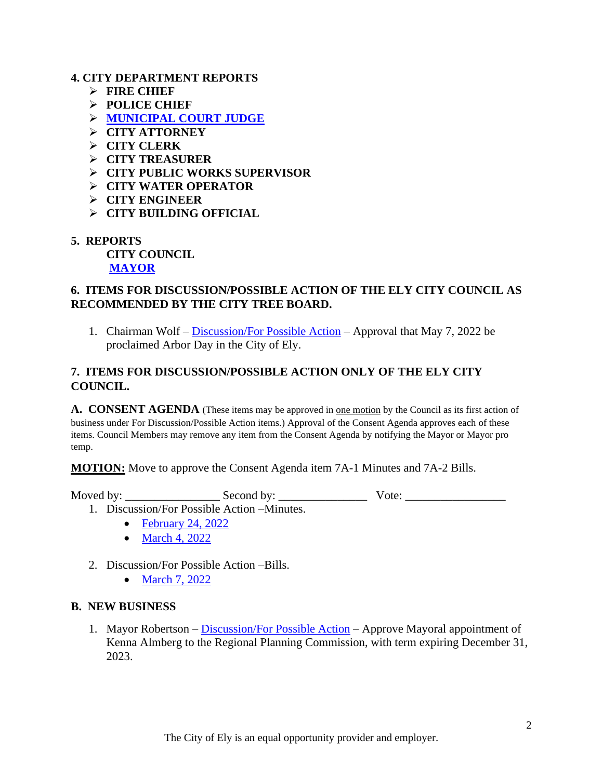### **4. CITY DEPARTMENT REPORTS**

- ➢ **FIRE CHIEF**
- ➢ **POLICE CHIEF**
- ➢ **[MUNICIPAL COURT JUDGE](https://www.cityofelynv.gov/pdf/CityCouncil2022/cc3-24-22/MuniCourtFebruary22report.pdf)**
- ➢ **CITY ATTORNEY**
- ➢ **CITY CLERK**
- ➢ **CITY TREASURER**
- ➢ **CITY PUBLIC WORKS SUPERVISOR**
- ➢ **CITY WATER OPERATOR**
- ➢ **CITY ENGINEER**
- ➢ **CITY BUILDING OFFICIAL**
- **5. REPORTS**

**CITY COUNCIL [MAYOR](https://www.cityofelynv.gov/pdf/CityCouncil2022/cc3-24-22/MayorsRpt03-24-2022.pdf)**

## **6. ITEMS FOR DISCUSSION/POSSIBLE ACTION OF THE ELY CITY COUNCIL AS RECOMMENDED BY THE CITY TREE BOARD.**

1. Chairman Wolf – [Discussion/For Possible Action](https://www.cityofelynv.gov/pdf/CityCouncil2022/cc3-24-22/ArborDay2022ProclamationTemplate.pdf) – Approval that May 7, 2022 be proclaimed Arbor Day in the City of Ely.

## **7. ITEMS FOR DISCUSSION/POSSIBLE ACTION ONLY OF THE ELY CITY COUNCIL.**

A. CONSENT AGENDA (These items may be approved in <u>one motion</u> by the Council as its first action of business under For Discussion/Possible Action items.) Approval of the Consent Agenda approves each of these items. Council Members may remove any item from the Consent Agenda by notifying the Mayor or Mayor pro temp.

**MOTION:** Move to approve the Consent Agenda item 7A-1 Minutes and 7A-2 Bills.

Moved by: \_\_\_\_\_\_\_\_\_\_\_\_\_\_\_\_ Second by: \_\_\_\_\_\_\_\_\_\_\_\_\_\_\_ Vote: \_\_\_\_\_\_\_\_\_\_\_\_\_\_\_\_\_

- 1. Discussion/For Possible Action –Minutes.
	- [February 24, 2022](https://www.cityofelynv.gov/pdf/CityCouncil2022/cc3-24-22/cc2-24-22meeting.pdf)
	- [March 4, 2022](https://www.cityofelynv.gov/pdf/CityCouncil2022/cc3-24-22/ccnnry3-4-22meeting.pdf)
- 2. Discussion/For Possible Action –Bills.
	- [March 7, 2022](https://www.cityofelynv.gov/pdf/CityCouncil2022/cc3-24-22/cc3-7-22bills.pdf)

### **B. NEW BUSINESS**

1. Mayor Robertson – [Discussion/For Possible Action](https://www.cityofelynv.gov/pdf/CityCouncil2022/cc3-24-22/RPC2022CityOpening.pdf) – Approve Mayoral appointment of Kenna Almberg to the Regional Planning Commission, with term expiring December 31, 2023.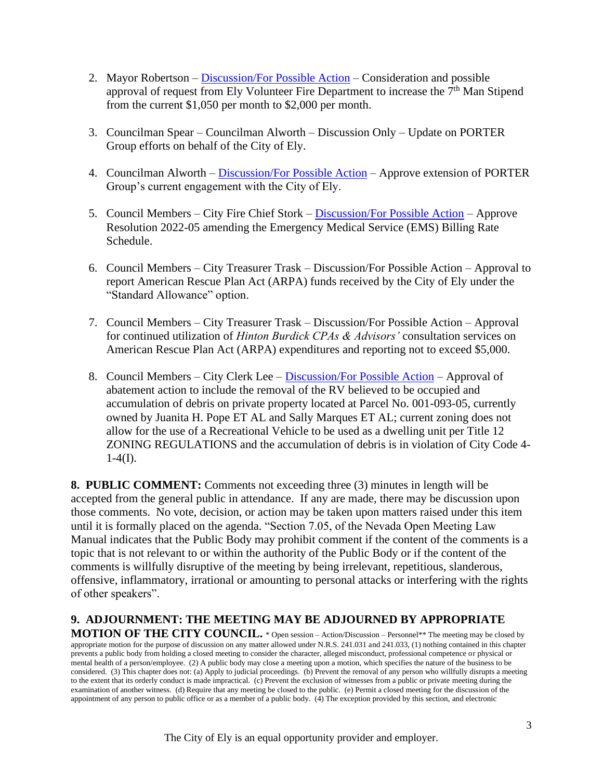- 2. Mayor Robertson [Discussion/For Possible Action](https://www.cityofelynv.gov/pdf/CityCouncil2022/cc3-24-22/Firedept7thmanstipend.pdf) Consideration and possible approval of request from Ely Volunteer Fire Department to increase the  $7<sup>th</sup>$  Man Stipend from the current \$1,050 per month to \$2,000 per month.
- 3. Councilman Spear Councilman Alworth Discussion Only Update on PORTER Group efforts on behalf of the City of Ely.
- 4. Councilman Alworth [Discussion/For Possible Action](https://www.cityofelynv.gov/pdf/CityCouncil2022/cc3-24-22/PORTERLetterofEngagement.pdf) Approve extension of PORTER Group's current engagement with the City of Ely.
- 5. Council Members City Fire Chief Stork [Discussion/For Possible Action](https://www.cityofelynv.gov/pdf/CityCouncil2022/cc3-24-22/Resolution2022-05.pdf) Approve Resolution 2022-05 amending the Emergency Medical Service (EMS) Billing Rate Schedule.
- 6. Council Members City Treasurer Trask Discussion/For Possible Action Approval to report American Rescue Plan Act (ARPA) funds received by the City of Ely under the "Standard Allowance" option.
- 7. Council Members City Treasurer Trask Discussion/For Possible Action Approval for continued utilization of *Hinton Burdick CPAs & Advisors'* consultation services on American Rescue Plan Act (ARPA) expenditures and reporting not to exceed \$5,000.
- 8. Council Members City Clerk Lee [Discussion/For Possible Action](https://www.cityofelynv.gov/pdf/CityCouncil2022/cc3-24-22/Popeabatement.pdf) Approval of abatement action to include the removal of the RV believed to be occupied and accumulation of debris on private property located at Parcel No. 001-093-05, currently owned by Juanita H. Pope ET AL and Sally Marques ET AL; current zoning does not allow for the use of a Recreational Vehicle to be used as a dwelling unit per Title 12 ZONING REGULATIONS and the accumulation of debris is in violation of City Code 4-  $1-4(I)$ .

**8. PUBLIC COMMENT:** Comments not exceeding three (3) minutes in length will be accepted from the general public in attendance. If any are made, there may be discussion upon those comments. No vote, decision, or action may be taken upon matters raised under this item until it is formally placed on the agenda. "Section 7.05, of the Nevada Open Meeting Law Manual indicates that the Public Body may prohibit comment if the content of the comments is a topic that is not relevant to or within the authority of the Public Body or if the content of the comments is willfully disruptive of the meeting by being irrelevant, repetitious, slanderous, offensive, inflammatory, irrational or amounting to personal attacks or interfering with the rights of other speakers".

# **9. ADJOURNMENT: THE MEETING MAY BE ADJOURNED BY APPROPRIATE**

**MOTION OF THE CITY COUNCIL.** \* Open session – Action/Discussion – Personnel\*\* The meeting may be closed by appropriate motion for the purpose of discussion on any matter allowed under N.R.S. 241.031 and 241.033, (1) nothing contained in this chapter prevents a public body from holding a closed meeting to consider the character, alleged misconduct, professional competence or physical or mental health of a person/employee. (2) A public body may close a meeting upon a motion, which specifies the nature of the business to be considered. (3) This chapter does not: (a) Apply to judicial proceedings. (b) Prevent the removal of any person who willfully disrupts a meeting to the extent that its orderly conduct is made impractical. (c) Prevent the exclusion of witnesses from a public or private meeting during the examination of another witness. (d) Require that any meeting be closed to the public. (e) Permit a closed meeting for the discussion of the appointment of any person to public office or as a member of a public body. (4) The exception provided by this section, and electronic